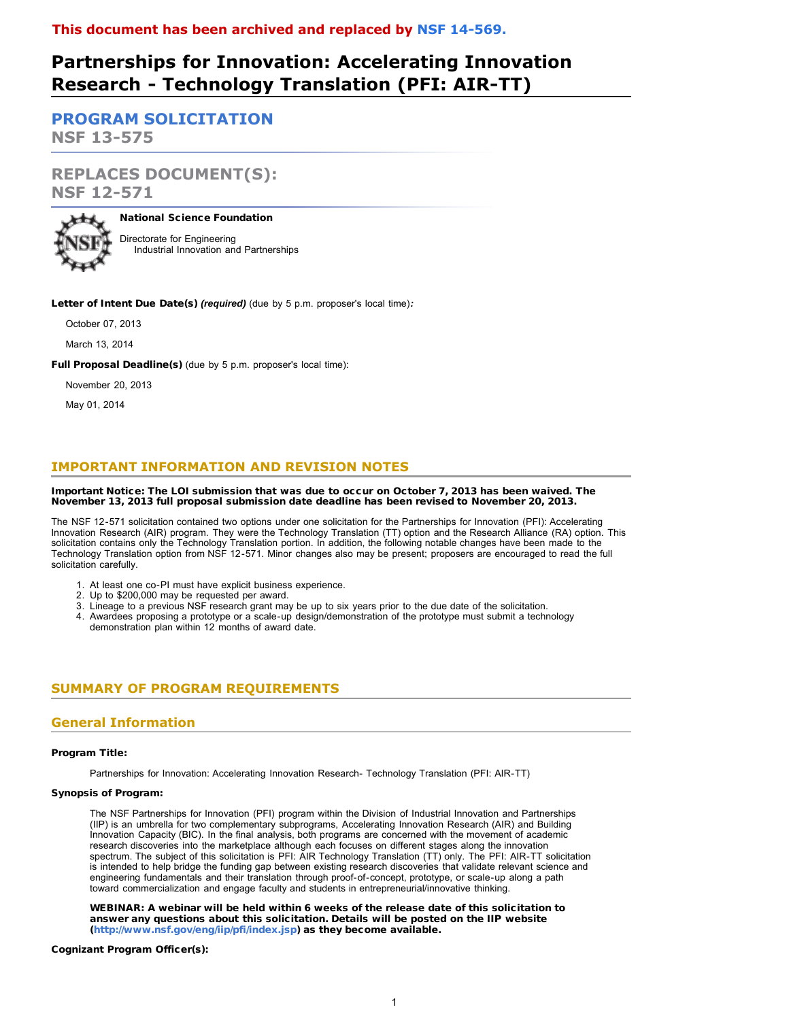# **This document has been archived and replaced by [NSF 14-569.](http://www.nsf.gov/publications/pub_summ.jsp?ods_key=nsf14569)**

# **Partnerships for Innovation: Accelerating Innovation Research - Technology Translation (PFI: AIR-TT)**

**[PROGRAM SOLICITATION](#page-2-0) NSF 13-575**

**REPLACES DOCUMENT(S): NSF 12-571**



### National Science Foundation

Directorate for Engineering Industrial Innovation and Partnerships

Letter of Intent Due Date(s) (required) (due by 5 p.m. proposer's local time):

October 07, 2013

March 13, 2014

Full Proposal Deadline(s) (due by 5 p.m. proposer's local time):

November 20, 2013

May 01, 2014

# **IMPORTANT INFORMATION AND REVISION NOTES**

#### Important Notice: The LOI submission that was due to occur on October 7, 2013 has been waived. The November 13, 2013 full proposal submission date deadline has been revised to November 20, 2013.

The NSF 12-571 solicitation contained two options under one solicitation for the Partnerships for Innovation (PFI): Accelerating Innovation Research (AIR) program. They were the Technology Translation (TT) option and the Research Alliance (RA) option. This solicitation contains only the Technology Translation portion. In addition, the following notable changes have been made to the Technology Translation option from NSF 12-571. Minor changes also may be present; proposers are encouraged to read the full solicitation carefully.

- 1. At least one co-PI must have explicit business experience.
- 2. Up to \$200,000 may be requested per award.
- 3. Lineage to a previous NSF research grant may be up to six years prior to the due date of the solicitation.
- 4. Awardees proposing a prototype or a scale-up design/demonstration of the prototype must submit a technology demonstration plan within 12 months of award date.

# <span id="page-0-0"></span>**SUMMARY OF PROGRAM REQUIREMENTS**

# **General Information**

#### Program Title:

Partnerships for Innovation: Accelerating Innovation Research- Technology Translation (PFI: AIR-TT)

#### Synopsis of Program:

The NSF Partnerships for Innovation (PFI) program within the Division of Industrial Innovation and Partnerships (IIP) is an umbrella for two complementary subprograms, Accelerating Innovation Research (AIR) and Building Innovation Capacity (BIC). In the final analysis, both programs are concerned with the movement of academic research discoveries into the marketplace although each focuses on different stages along the innovation spectrum. The subject of this solicitation is PFI: AIR Technology Translation (TT) only. The PFI: AIR-TT solicitation is intended to help bridge the funding gap between existing research discoveries that validate relevant science and engineering fundamentals and their translation through proof-of-concept, prototype, or scale-up along a path toward commercialization and engage faculty and students in entrepreneurial/innovative thinking.

WEBINAR: A webinar will be held within 6 weeks of the release date of this solicitation to answer any questions about this solicitation. Details will be posted on the IIP website ([http://www.nsf.gov/eng/iip/pfi/index.jsp\)](http://www.nsf.gov/eng/iip/pfi/index.jsp) as they become available.

#### Cognizant Program Officer(s):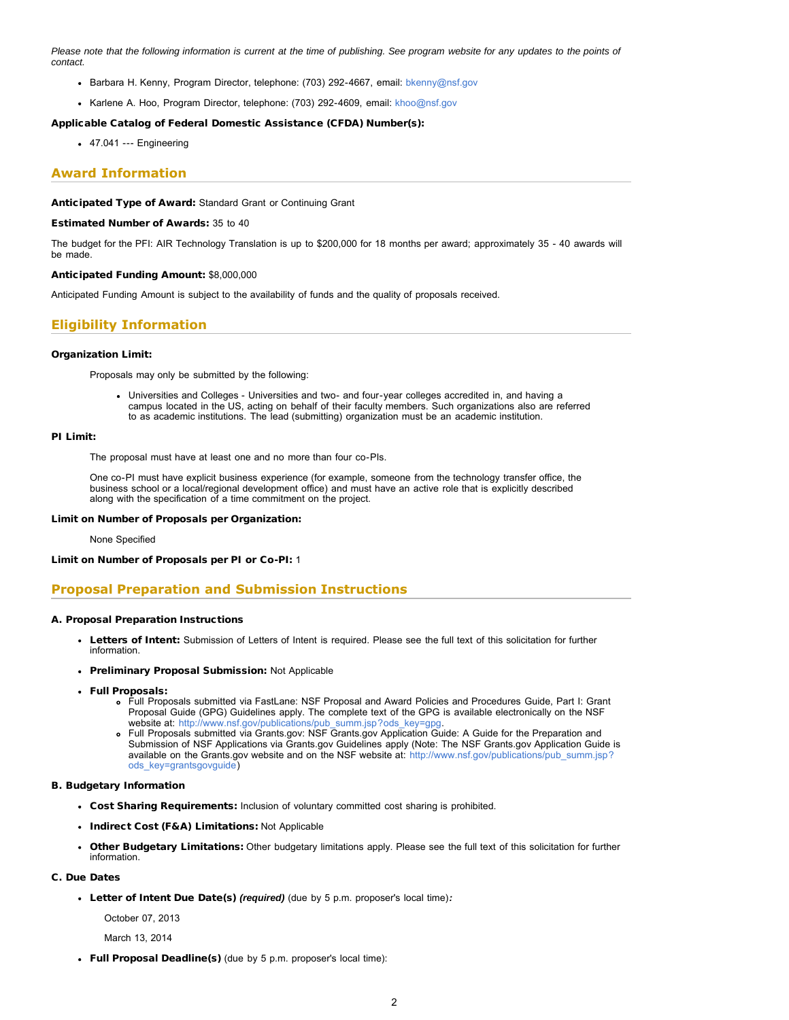*Please note that the following information is current at the time of publishing. See program website for any updates to the points of contact.*

- Barbara H. Kenny, Program Director, telephone: (703) 292-4667, email: [bkenny@nsf.gov](mailto:bkenny@nsf.gov)
- Karlene A. Hoo, Program Director, telephone: (703) 292-4609, email: [khoo@nsf.gov](mailto:khoo@nsf.gov)

### Applicable Catalog of Federal Domestic Assistance (CFDA) Number(s):

47.041 --- Engineering

### **Award Information**

Anticipated Type of Award: Standard Grant or Continuing Grant

#### Estimated Number of Awards: 35 to 40

The budget for the PFI: AIR Technology Translation is up to \$200,000 for 18 months per award; approximately 35 - 40 awards will be made.

#### Anticipated Funding Amount: \$8,000,000

Anticipated Funding Amount is subject to the availability of funds and the quality of proposals received.

# **Eligibility Information**

#### Organization Limit:

Proposals may only be submitted by the following:

Universities and Colleges - Universities and two- and four-year colleges accredited in, and having a campus located in the US, acting on behalf of their faculty members. Such organizations also are referred to as academic institutions. The lead (submitting) organization must be an academic institution.

#### PI Limit:

The proposal must have at least one and no more than four co-PIs.

One co-PI must have explicit business experience (for example, someone from the technology transfer office, the business school or a local/regional development office) and must have an active role that is explicitly described along with the specification of a time commitment on the project.

#### Limit on Number of Proposals per Organization:

#### None Specified

Limit on Number of Proposals per PI or Co-PI: 1

### **Proposal Preparation and Submission Instructions**

#### A. Proposal Preparation Instructions

- Letters of Intent: Submission of Letters of Intent is required. Please see the full text of this solicitation for further information.
- Preliminary Proposal Submission: Not Applicable
- Full Proposals:
	- Full Proposals submitted via FastLane: NSF Proposal and Award Policies and Procedures Guide, Part I: Grant Proposal Guide (GPG) Guidelines apply. The complete text of the GPG is available electronically on the NSF website at: [http://www.nsf.gov/publications/pub\\_summ.jsp?ods\\_key=gpg.](http://www.nsf.gov/publications/pub_summ.jsp?ods_key=gpg)
	- Full Proposals submitted via Grants.gov: NSF Grants.gov Application Guide: A Guide for the Preparation and Submission of NSF Applications via Grants.gov Guidelines apply (Note: The NSF Grants.gov Application Guide is available on the Grants.gov website and on the NSF website at: [http://www.nsf.gov/publications/pub\\_summ.jsp?](http://www.nsf.gov/publications/pub_summ.jsp?ods_key=grantsgovguide) [ods\\_key=grantsgovguide\)](http://www.nsf.gov/publications/pub_summ.jsp?ods_key=grantsgovguide)
- B. Budgetary Information
	- Cost Sharing Requirements: Inclusion of voluntary committed cost sharing is prohibited.
	- Indirect Cost (F&A) Limitations: Not Applicable
	- Other Budgetary Limitations: Other budgetary limitations apply. Please see the full text of this solicitation for further information.

### C. Due Dates

Letter of Intent Due Date(s) *(required)* (due by 5 p.m. proposer's local time)*:*

October 07, 2013

March 13, 2014

• Full Proposal Deadline(s) (due by 5 p.m. proposer's local time):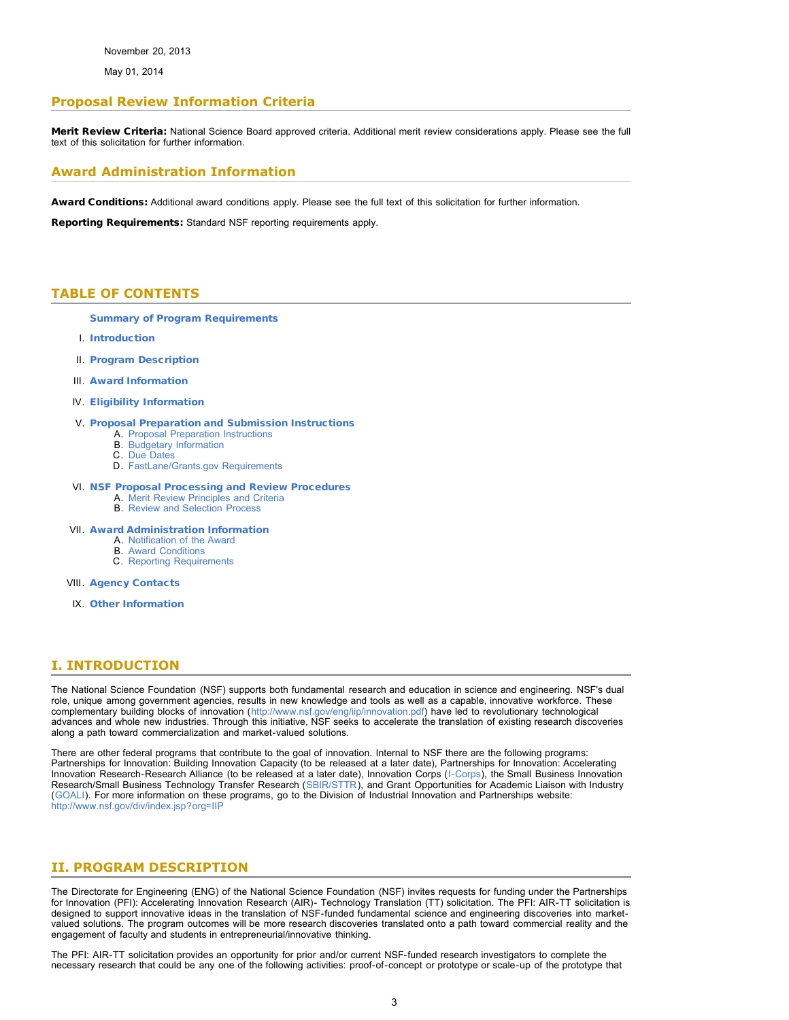May 01, 2014

# **Proposal Review Information Criteria**

Merit Review Criteria: National Science Board approved criteria. Additional merit review considerations apply. Please see the full text of this solicitation for further information.

### **Award Administration Information**

Award Conditions: Additional award conditions apply. Please see the full text of this solicitation for further information.

<span id="page-2-0"></span>Reporting Requirements: Standard NSF reporting requirements apply.

# **TABLE OF CONTENTS**

- [Summary of Program Requirements](#page-0-0)
- I. [Introduction](#page-2-1)
- II. [Program Description](#page-2-2)
- III. [Award Information](#page-3-0)
- IV. [Eligibility Information](#page-3-1)

#### V. [Proposal Preparation and Submission Instructions](#page-3-2)

- A. [Proposal Preparation Instructions](#page-3-2)
- B. [Budgetary Information](#page-6-0)
- C. [Due Dates](#page-6-1)
- D. [FastLane/Grants.gov Requirements](#page-6-2)

### VI. [NSF Proposal Processing and Review Procedures](#page-7-0)

- A. [Merit Review Principles and Criteria](#page-7-1)
- B. [Review and Selection Process](#page-8-0)

### VII. [Award Administration Information](#page-9-0)

- A. [Notification of the Award](#page-9-1)
	- B. [Award Conditions](#page-9-2) C. [Reporting Requirements](#page-9-3)
- 
- VIII. [Agency Contacts](#page-9-4)
- IX. [Other Information](#page-10-0)

# <span id="page-2-1"></span>**I. INTRODUCTION**

The National Science Foundation (NSF) supports both fundamental research and education in science and engineering. NSF's dual role, unique among government agencies, results in new knowledge and tools as well as a capable, innovative workforce. These complementary building blocks of innovation (<http://www.nsf.gov/eng/iip/innovation.pdf>) have led to revolutionary technological advances and whole new industries. Through this initiative, NSF seeks to accelerate the translation of existing research discoveries along a path toward commercialization and market-valued solutions.

There are other federal programs that contribute to the goal of innovation. Internal to NSF there are the following programs: Partnerships for Innovation: Building Innovation Capacity (to be released at a later date), Partnerships for Innovation: Accelerating Innovation Research-Research Alliance (to be released at a later date), Innovation Corps ([I-Corps\)](http://www.nsf.gov/funding/pgm_summ.jsp?pims_id=504672&SBTR=SolicAI), the Small Business Innovation Research/Small Business Technology Transfer Research ([SBIR/STTR\)](http://www.nsf.gov/eng/iip/sbir/index.jsp?SBTR=SolicAS), and Grant Opportunities for Academic Liaison with Industry ([GOALI](http://www.nsf.gov/funding/pgm_summ.jsp?pims_id=504699&SBTR=SolicAG)). For more information on these programs, go to the Division of Industrial Innovation and Partnerships website: <http://www.nsf.gov/div/index.jsp?org=IIP>

### <span id="page-2-2"></span>**II. PROGRAM DESCRIPTION**

The Directorate for Engineering (ENG) of the National Science Foundation (NSF) invites requests for funding under the Partnerships for Innovation (PFI): Accelerating Innovation Research (AIR)- Technology Translation (TT) solicitation. The PFI: AIR-TT solicitation is designed to support innovative ideas in the translation of NSF-funded fundamental science and engineering discoveries into marketvalued solutions. The program outcomes will be more research discoveries translated onto a path toward commercial reality and the engagement of faculty and students in entrepreneurial/innovative thinking.

The PFI: AIR-TT solicitation provides an opportunity for prior and/or current NSF-funded research investigators to complete the necessary research that could be any one of the following activities: proof-of-concept or prototype or scale-up of the prototype that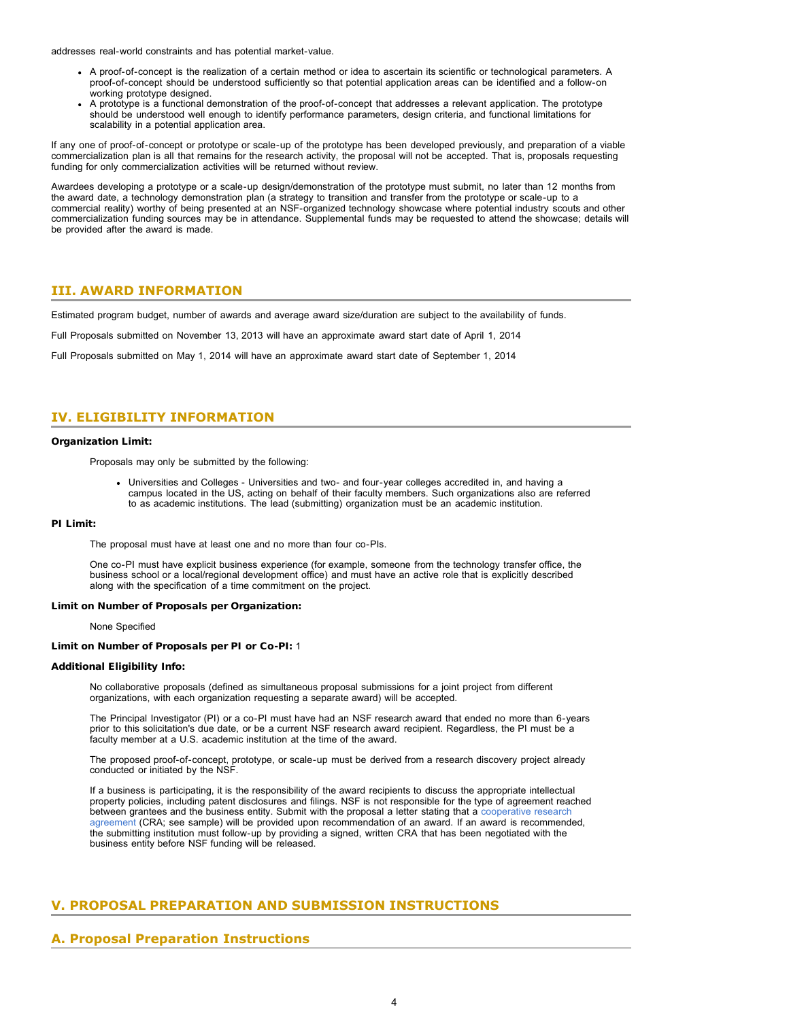addresses real-world constraints and has potential market-value.

- A proof-of-concept is the realization of a certain method or idea to ascertain its scientific or technological parameters. A proof-of-concept should be understood sufficiently so that potential application areas can be identified and a follow-on working prototype designed.
- A prototype is a functional demonstration of the proof-of-concept that addresses a relevant application. The prototype should be understood well enough to identify performance parameters, design criteria, and functional limitations for scalability in a potential application area.

If any one of proof-of-concept or prototype or scale-up of the prototype has been developed previously, and preparation of a viable commercialization plan is all that remains for the research activity, the proposal will not be accepted. That is, proposals requesting funding for only commercialization activities will be returned without review.

Awardees developing a prototype or a scale-up design/demonstration of the prototype must submit, no later than 12 months from the award date, a technology demonstration plan (a strategy to transition and transfer from the prototype or scale-up to a commercial reality) worthy of being presented at an NSF-organized technology showcase where potential industry scouts and other commercialization funding sources may be in attendance. Supplemental funds may be requested to attend the showcase; details will be provided after the award is made.

### <span id="page-3-0"></span>**III. AWARD INFORMATION**

Estimated program budget, number of awards and average award size/duration are subject to the availability of funds.

Full Proposals submitted on November 13, 2013 will have an approximate award start date of April 1, 2014

Full Proposals submitted on May 1, 2014 will have an approximate award start date of September 1, 2014

# <span id="page-3-1"></span>**IV. ELIGIBILITY INFORMATION**

#### Organization Limit:

Proposals may only be submitted by the following:

Universities and Colleges - Universities and two- and four-year colleges accredited in, and having a campus located in the US, acting on behalf of their faculty members. Such organizations also are referred to as academic institutions. The lead (submitting) organization must be an academic institution.

#### PI Limit:

The proposal must have at least one and no more than four co-PIs.

One co-PI must have explicit business experience (for example, someone from the technology transfer office, the business school or a local/regional development office) and must have an active role that is explicitly described along with the specification of a time commitment on the project.

#### Limit on Number of Proposals per Organization:

None Specified

#### Limit on Number of Proposals per PI or Co-PI: 1

### Additional Eligibility Info:

No collaborative proposals (defined as simultaneous proposal submissions for a joint project from different organizations, with each organization requesting a separate award) will be accepted.

The Principal Investigator (PI) or a co-PI must have had an NSF research award that ended no more than 6-years prior to this solicitation's due date, or be a current NSF research award recipient. Regardless, the PI must be a faculty member at a U.S. academic institution at the time of the award.

The proposed proof-of-concept, prototype, or scale-up must be derived from a research discovery project already conducted or initiated by the NSF.

If a business is participating, it is the responsibility of the award recipients to discuss the appropriate intellectual property policies, including patent disclosures and filings. NSF is not responsible for the type of agreement reached between grantees and the business entity. Submit with the proposal a letter stating that a [cooperative research](http://www.nsf.gov/eng/iip/sbir/Forms/Cooperative_Agreement.docx) [agreement](http://www.nsf.gov/eng/iip/sbir/Forms/Cooperative_Agreement.docx) (CRA; see sample) will be provided upon recommendation of an award. If an award is recommended, the submitting institution must follow-up by providing a signed, written CRA that has been negotiated with the business entity before NSF funding will be released.

### <span id="page-3-2"></span>**V. PROPOSAL PREPARATION AND SUBMISSION INSTRUCTIONS**

# **A. Proposal Preparation Instructions**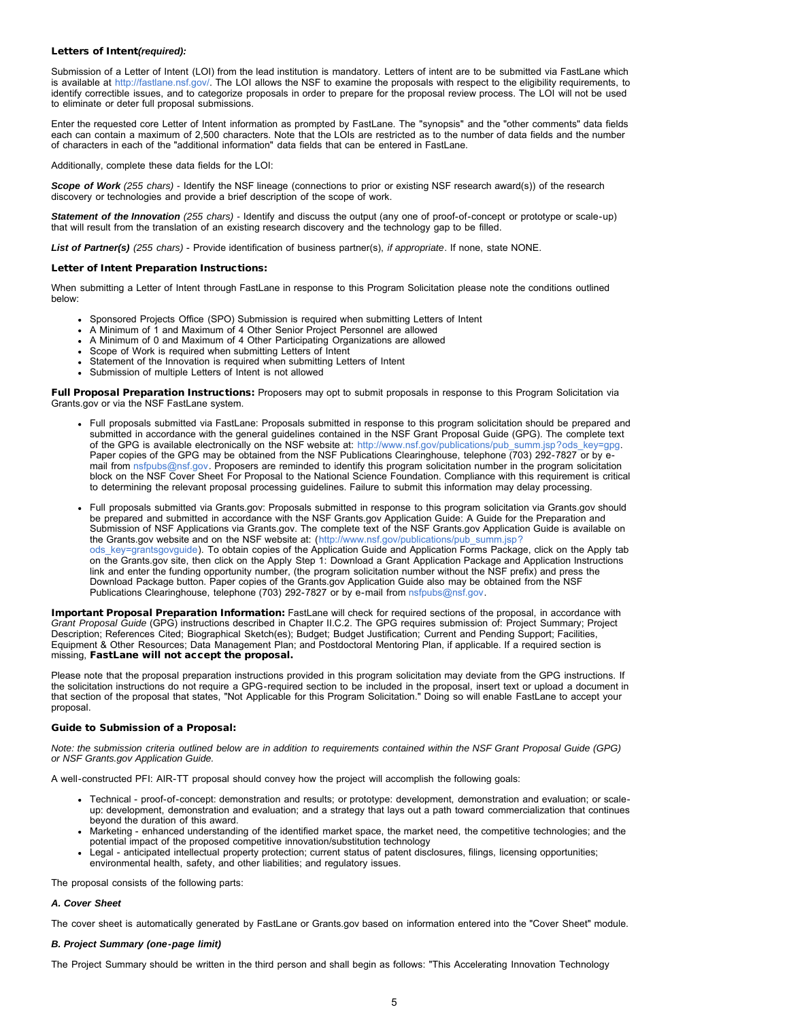#### Letters of Intent*(required):*

Submission of a Letter of Intent (LOI) from the lead institution is mandatory. Letters of intent are to be submitted via FastLane which is available at [http://fastlane.nsf.gov/.](http://fastlane.nsf.gov/) The LOI allows the NSF to examine the proposals with respect to the eligibility requirements, to identify correctible issues, and to categorize proposals in order to prepare for the proposal review process. The LOI will not be used to eliminate or deter full proposal submissions.

Enter the requested core Letter of Intent information as prompted by FastLane. The "synopsis" and the "other comments" data fields each can contain a maximum of 2,500 characters. Note that the LOIs are restricted as to the number of data fields and the number of characters in each of the "additional information" data fields that can be entered in FastLane.

Additionally, complete these data fields for the LOI:

*Scope of Work (255 chars) -* Identify the NSF lineage (connections to prior or existing NSF research award(s)) of the research discovery or technologies and provide a brief description of the scope of work.

*Statement of the Innovation (255 chars) -* Identify and discuss the output (any one of proof-of-concept or prototype or scale-up) that will result from the translation of an existing research discovery and the technology gap to be filled.

*List of Partner(s) (255 chars)* - Provide identification of business partner(s), *if appropriate*. If none, state NONE.

#### Letter of Intent Preparation Instructions:

When submitting a Letter of Intent through FastLane in response to this Program Solicitation please note the conditions outlined below:

- Sponsored Projects Office (SPO) Submission is required when submitting Letters of Intent
- A Minimum of 1 and Maximum of 4 Other Senior Project Personnel are allowed
- A Minimum of 0 and Maximum of 4 Other Participating Organizations are allowed
- Scope of Work is required when submitting Letters of Intent
- Statement of the Innovation is required when submitting Letters of Intent
- Submission of multiple Letters of Intent is not allowed

Full Proposal Preparation Instructions: Proposers may opt to submit proposals in response to this Program Solicitation via Grants.gov or via the NSF FastLane system.

- Full proposals submitted via FastLane: Proposals submitted in response to this program solicitation should be prepared and submitted in accordance with the general guidelines contained in the NSF Grant Proposal Guide (GPG). The complete text of the GPG is available electronically on the NSF website at: [http://www.nsf.gov/publications/pub\\_summ.jsp?ods\\_key=gpg.](http://www.nsf.gov/publications/pub_summ.jsp?ods_key=gpg) Paper copies of the GPG may be obtained from the NSF Publications Clearinghouse, telephone (703) 292-7827 or by email from [nsfpubs@nsf.gov.](mailto:nsfpubs@nsf.gov) Proposers are reminded to identify this program solicitation number in the program solicitation block on the NSF Cover Sheet For Proposal to the National Science Foundation. Compliance with this requirement is critical to determining the relevant proposal processing guidelines. Failure to submit this information may delay processing.
- Full proposals submitted via Grants.gov: Proposals submitted in response to this program solicitation via Grants.gov should be prepared and submitted in accordance with the NSF Grants.gov Application Guide: A Guide for the Preparation and Submission of NSF Applications via Grants.gov. The complete text of the NSF Grants.gov Application Guide is available on the Grants.gov website and on the NSF website at: ([http://www.nsf.gov/publications/pub\\_summ.jsp?](http://www.nsf.gov/publications/pub_summ.jsp?ods_key=grantsgovguide) [ods\\_key=grantsgovguide\)](http://www.nsf.gov/publications/pub_summ.jsp?ods_key=grantsgovguide). To obtain copies of the Application Guide and Application Forms Package, click on the Apply tab on the Grants.gov site, then click on the Apply Step 1: Download a Grant Application Package and Application Instructions link and enter the funding opportunity number, (the program solicitation number without the NSF prefix) and press the Download Package button. Paper copies of the Grants.gov Application Guide also may be obtained from the NSF Publications Clearinghouse, telephone (703) 292-7827 or by e-mail from [nsfpubs@nsf.gov.](mailto:nsfpubs@nsf.gov)

Important Proposal Preparation Information: FastLane will check for required sections of the proposal, in accordance with *Grant Proposal Guide* (GPG) instructions described in Chapter II.C.2. The GPG requires submission of: Project Summary; Project Description; References Cited; Biographical Sketch(es); Budget; Budget Justification; Current and Pending Support; Facilities, Equipment & Other Resources; Data Management Plan; and Postdoctoral Mentoring Plan, if applicable. If a required section is missing, FastLane will not accept the proposal.

Please note that the proposal preparation instructions provided in this program solicitation may deviate from the GPG instructions. If the solicitation instructions do not require a GPG-required section to be included in the proposal, insert text or upload a document in that section of the proposal that states, "Not Applicable for this Program Solicitation." Doing so will enable FastLane to accept your proposal.

#### Guide to Submission of a Proposal:

*Note: the submission criteria outlined below are in addition to requirements contained within the NSF Grant Proposal Guide (GPG) or NSF Grants.gov Application Guide.*

A well-constructed PFI: AIR-TT proposal should convey how the project will accomplish the following goals:

- Technical proof-of-concept: demonstration and results; or prototype: development, demonstration and evaluation; or scaleup: development, demonstration and evaluation; and a strategy that lays out a path toward commercialization that continues beyond the duration of this award.
- Marketing enhanced understanding of the identified market space, the market need, the competitive technologies; and the potential impact of the proposed competitive innovation/substitution technology
- Legal anticipated intellectual property protection; current status of patent disclosures, filings, licensing opportunities; environmental health, safety, and other liabilities; and regulatory issues.

The proposal consists of the following parts:

#### *A. Cover Sheet*

The cover sheet is automatically generated by FastLane or Grants.gov based on information entered into the "Cover Sheet" module.

#### *B. Project Summary (one-page limit)*

The Project Summary should be written in the third person and shall begin as follows: "This Accelerating Innovation Technology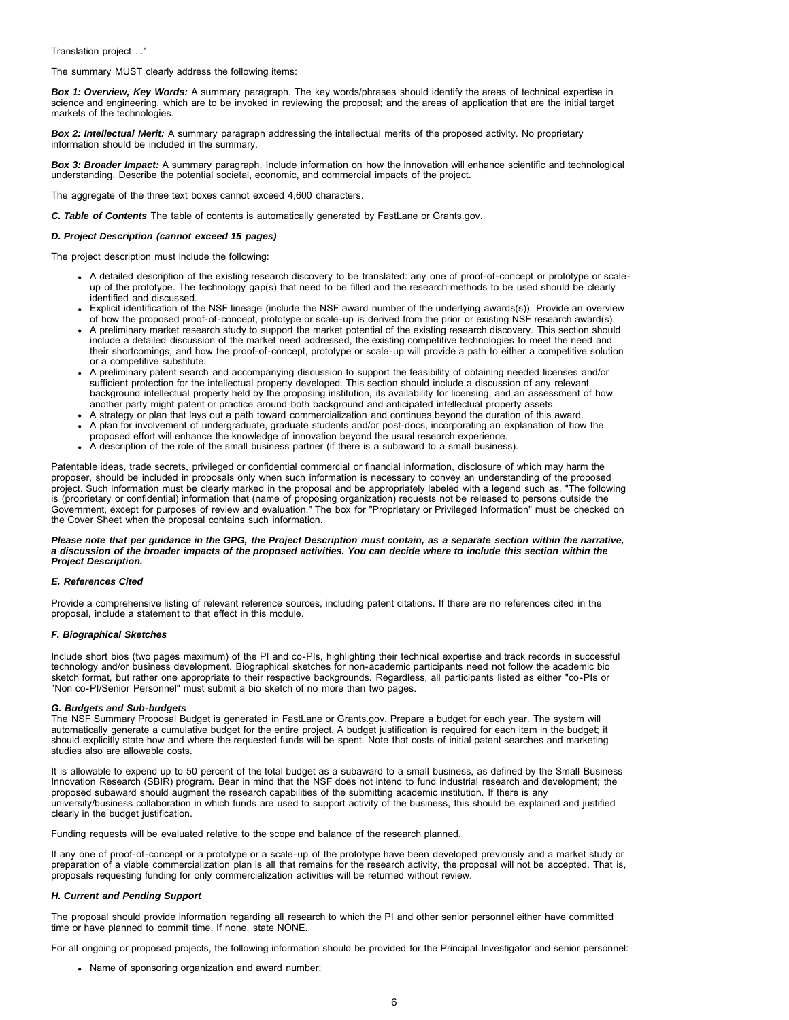Translation project ..."

The summary MUST clearly address the following items:

*Box 1: Overview, Key Words:* A summary paragraph. The key words/phrases should identify the areas of technical expertise in science and engineering, which are to be invoked in reviewing the proposal; and the areas of application that are the initial target markets of the technologies.

*Box 2: Intellectual Merit:* A summary paragraph addressing the intellectual merits of the proposed activity. No proprietary information should be included in the summary.

*Box 3: Broader Impact:* A summary paragraph. Include information on how the innovation will enhance scientific and technological understanding. Describe the potential societal, economic, and commercial impacts of the project.

The aggregate of the three text boxes cannot exceed 4,600 characters.

*C. Table of Contents* The table of contents is automatically generated by FastLane or Grants.gov.

### *D. Project Description (cannot exceed 15 pages)*

The project description must include the following:

- A detailed description of the existing research discovery to be translated: any one of proof-of-concept or prototype or scaleup of the prototype. The technology gap(s) that need to be filled and the research methods to be used should be clearly identified and discussed.
- Explicit identification of the NSF lineage (include the NSF award number of the underlying awards(s)). Provide an overview of how the proposed proof-of-concept, prototype or scale-up is derived from the prior or existing NSF research award(s).
- A preliminary market research study to support the market potential of the existing research discovery. This section should include a detailed discussion of the market need addressed, the existing competitive technologies to meet the need and their shortcomings, and how the proof-of-concept, prototype or scale-up will provide a path to either a competitive solution or a competitive substitute.
- A preliminary patent search and accompanying discussion to support the feasibility of obtaining needed licenses and/or sufficient protection for the intellectual property developed. This section should include a discussion of any relevant background intellectual property held by the proposing institution, its availability for licensing, and an assessment of how another party might patent or practice around both background and anticipated intellectual property assets.
- A strategy or plan that lays out a path toward commercialization and continues beyond the duration of this award. A plan for involvement of undergraduate, graduate students and/or post-docs, incorporating an explanation of how the proposed effort will enhance the knowledge of innovation beyond the usual research experience.
- A description of the role of the small business partner (if there is a subaward to a small business).

Patentable ideas, trade secrets, privileged or confidential commercial or financial information, disclosure of which may harm the proposer, should be included in proposals only when such information is necessary to convey an understanding of the proposed project. Such information must be clearly marked in the proposal and be appropriately labeled with a legend such as, "The following is (proprietary or confidential) information that (name of proposing organization) requests not be released to persons outside the Government, except for purposes of review and evaluation." The box for "Proprietary or Privileged Information" must be checked on the Cover Sheet when the proposal contains such information.

#### *Please note that per guidance in the GPG, the Project Description must contain, as a separate section within the narrative, a discussion of the broader impacts of the proposed activities. You can decide where to include this section within the Project Description.*

#### *E. References Cited*

Provide a comprehensive listing of relevant reference sources, including patent citations. If there are no references cited in the proposal, include a statement to that effect in this module.

### *F. Biographical Sketches*

Include short bios (two pages maximum) of the PI and co-PIs, highlighting their technical expertise and track records in successful technology and/or business development. Biographical sketches for non-academic participants need not follow the academic bio sketch format, but rather one appropriate to their respective backgrounds. Regardless, all participants listed as either "co-PIs or "Non co-PI/Senior Personnel" must submit a bio sketch of no more than two pages.

#### *G. Budgets and Sub-budgets*

The NSF Summary Proposal Budget is generated in FastLane or Grants.gov. Prepare a budget for each year. The system will automatically generate a cumulative budget for the entire project. A budget justification is required for each item in the budget; it should explicitly state how and where the requested funds will be spent. Note that costs of initial patent searches and marketing studies also are allowable costs.

It is allowable to expend up to 50 percent of the total budget as a subaward to a small business, as defined by the Small Business Innovation Research (SBIR) program. Bear in mind that the NSF does not intend to fund industrial research and development; the proposed subaward should augment the research capabilities of the submitting academic institution. If there is any university/business collaboration in which funds are used to support activity of the business, this should be explained and justified clearly in the budget justification.

Funding requests will be evaluated relative to the scope and balance of the research planned.

If any one of proof-of-concept or a prototype or a scale-up of the prototype have been developed previously and a market study or preparation of a viable commercialization plan is all that remains for the research activity, the proposal will not be accepted. That is, proposals requesting funding for only commercialization activities will be returned without review.

#### *H. Current and Pending Support*

The proposal should provide information regarding all research to which the PI and other senior personnel either have committed time or have planned to commit time. If none, state NONE.

For all ongoing or proposed projects, the following information should be provided for the Principal Investigator and senior personnel:

• Name of sponsoring organization and award number;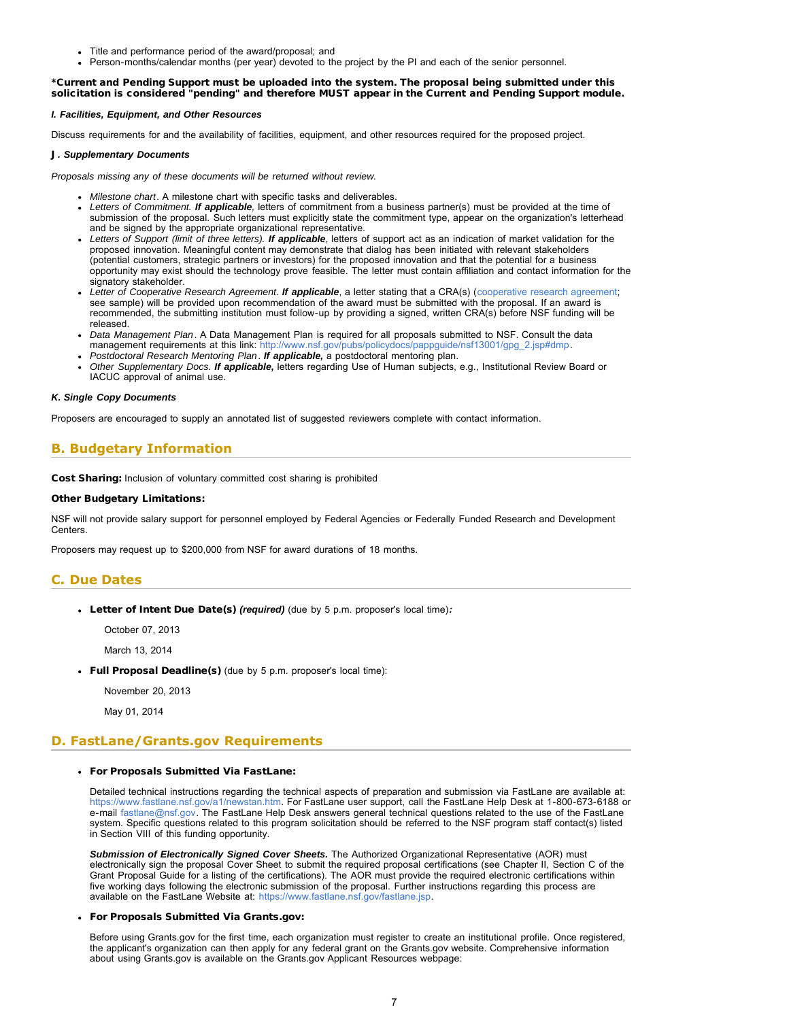- <span id="page-6-1"></span>Title and performance period of the award/proposal; and
- Person-months/calendar months (per year) devoted to the project by the PI and each of the senior personnel.

#### \*Current and Pending Support must be uploaded into the system. The proposal being submitted under this solicitation is considered "pending" and therefore MUST appear in the Current and Pending Support module.

#### *I. Facilities, Equipment, and Other Resources*

Discuss requirements for and the availability of facilities, equipment, and other resources required for the proposed project.

#### J*. Supplementary Documents*

*Proposals missing any of these documents will be returned without review.*

- *Milestone chart*. A milestone chart with specific tasks and deliverables.
- *Letters of Commitment. If applicable,* letters of commitment from a business partner(s) must be provided at the time of submission of the proposal. Such letters must explicitly state the commitment type, appear on the organization's letterhead and be signed by the appropriate organizational representative.
- *Letters of Support (limit of three letters). If applicable*, letters of support act as an indication of market validation for the proposed innovation. Meaningful content may demonstrate that dialog has been initiated with relevant stakeholders (potential customers, strategic partners or investors) for the proposed innovation and that the potential for a business opportunity may exist should the technology prove feasible. The letter must contain affiliation and contact information for the signatory stakeholder.
- Letter of Cooperative Research Agreement. If applicable, a letter stating that a CRA(s) ([cooperative research agreement;](http://www.nsf.gov/eng/iip/sbir/Forms/Cooperative_Agreement.docx) see sample) will be provided upon recommendation of the award must be submitted with the proposal. If an award is recommended, the submitting institution must follow-up by providing a signed, written CRA(s) before NSF funding will be released.
- *Data Management Plan*. A Data Management Plan is required for all proposals submitted to NSF. Consult the data management requirements at this link: [http://www.nsf.gov/pubs/policydocs/pappguide/nsf13001/gpg\\_2.jsp#dmp.](http://www.nsf.gov/pubs/policydocs/pappguide/nsf13001/gpg_2.jsp#dmp)
- *Postdoctoral Research Mentoring Plan*. *If applicable,* a postdoctoral mentoring plan.
- *Other Supplementary Docs. If applicable,* letters regarding Use of Human subjects, e.g., Institutional Review Board or IACUC approval of animal use.

#### *K. Single Copy Documents*

Proposers are encouraged to supply an annotated list of suggested reviewers complete with contact information.

# <span id="page-6-0"></span>**B. Budgetary Information**

Cost Sharing: Inclusion of voluntary committed cost sharing is prohibited

#### Other Budgetary Limitations:

NSF will not provide salary support for personnel employed by Federal Agencies or Federally Funded Research and Development Centers.

Proposers may request up to \$200,000 from NSF for award durations of 18 months.

### **C. Due Dates**

Letter of Intent Due Date(s) *(required)* (due by 5 p.m. proposer's local time)*:*

October 07, 2013

March 13, 2014

Full Proposal Deadline(s) (due by 5 p.m. proposer's local time):

November 20, 2013

May 01, 2014

### <span id="page-6-2"></span>**D. FastLane/Grants.gov Requirements**

#### For Proposals Submitted Via FastLane:

Detailed technical instructions regarding the technical aspects of preparation and submission via FastLane are available at: [https://www.fastlane.nsf.gov/a1/newstan.htm.](https://www.fastlane.nsf.gov/a1/newstan.htm) For FastLane user support, call the FastLane Help Desk at 1-800-673-6188 or e-mail [fastlane@nsf.gov.](mailto:fastlane@nsf.gov) The FastLane Help Desk answers general technical questions related to the use of the FastLane system. Specific questions related to this program solicitation should be referred to the NSF program staff contact(s) listed in Section VIII of this funding opportunity.

*Submission of Electronically Signed Cover Sheets.* The Authorized Organizational Representative (AOR) must electronically sign the proposal Cover Sheet to submit the required proposal certifications (see Chapter II, Section C of the Grant Proposal Guide for a listing of the certifications). The AOR must provide the required electronic certifications within five working days following the electronic submission of the proposal. Further instructions regarding this process are available on the FastLane Website at: [https://www.fastlane.nsf.gov/fastlane.jsp.](https://www.fastlane.nsf.gov/fastlane.jsp)

#### For Proposals Submitted Via Grants.gov:

Before using Grants.gov for the first time, each organization must register to create an institutional profile. Once registered, the applicant's organization can then apply for any federal grant on the Grants.gov website. Comprehensive information about using Grants.gov is available on the Grants.gov Applicant Resources webpage: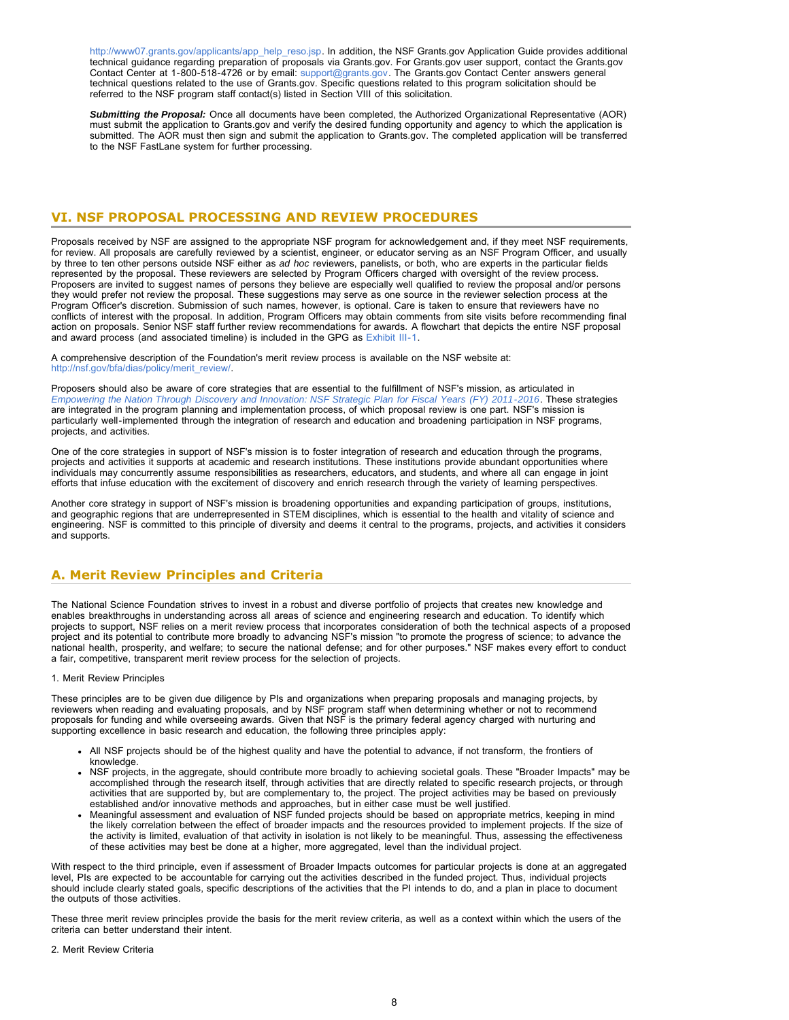[http://www07.grants.gov/applicants/app\\_help\\_reso.jsp.](http://www07.grants.gov/applicants/app_help_reso.jsp) In addition, the NSF Grants.gov Application Guide provides additional technical guidance regarding preparation of proposals via Grants.gov. For Grants.gov user support, contact the Grants.gov Contact Center at 1-800-518-4726 or by email: [support@grants.gov](mailto:support@grants.gov). The Grants.gov Contact Center answers general technical questions related to the use of Grants.gov. Specific questions related to this program solicitation should be referred to the NSF program staff contact(s) listed in Section VIII of this solicitation.

*Submitting the Proposal:* Once all documents have been completed, the Authorized Organizational Representative (AOR) must submit the application to Grants.gov and verify the desired funding opportunity and agency to which the application is submitted. The AOR must then sign and submit the application to Grants.gov. The completed application will be transferred to the NSF FastLane system for further processing.

### <span id="page-7-0"></span>**VI. NSF PROPOSAL PROCESSING AND REVIEW PROCEDURES**

Proposals received by NSF are assigned to the appropriate NSF program for acknowledgement and, if they meet NSF requirements, for review. All proposals are carefully reviewed by a scientist, engineer, or educator serving as an NSF Program Officer, and usually by three to ten other persons outside NSF either as *ad hoc* reviewers, panelists, or both, who are experts in the particular fields represented by the proposal. These reviewers are selected by Program Officers charged with oversight of the review process. Proposers are invited to suggest names of persons they believe are especially well qualified to review the proposal and/or persons they would prefer not review the proposal. These suggestions may serve as one source in the reviewer selection process at the Program Officer's discretion. Submission of such names, however, is optional. Care is taken to ensure that reviewers have no conflicts of interest with the proposal. In addition, Program Officers may obtain comments from site visits before recommending final action on proposals. Senior NSF staff further review recommendations for awards. A flowchart that depicts the entire NSF proposal and award process (and associated timeline) is included in the GPG as [Exhibit III-1](http://www.nsf.gov/pubs/policydocs/pappguide/nsf13001/gpg_3ex1.pdf).

A comprehensive description of the Foundation's merit review process is available on the NSF website at: [http://nsf.gov/bfa/dias/policy/merit\\_review/.](http://nsf.gov/bfa/dias/policy/merit_review/)

Proposers should also be aware of core strategies that are essential to the fulfillment of NSF's mission, as articulated in *[Empowering the Nation Through Discovery and Innovation: NSF Strategic Plan for Fiscal Years \(FY\) 2011-2016](http://www.nsf.gov/news/strategicplan/nsfstrategicplan_2011_2016.pdf)*. These strategies are integrated in the program planning and implementation process, of which proposal review is one part. NSF's mission is particularly well-implemented through the integration of research and education and broadening participation in NSF programs, projects, and activities.

One of the core strategies in support of NSF's mission is to foster integration of research and education through the programs, projects and activities it supports at academic and research institutions. These institutions provide abundant opportunities where individuals may concurrently assume responsibilities as researchers, educators, and students, and where all can engage in joint efforts that infuse education with the excitement of discovery and enrich research through the variety of learning perspectives.

Another core strategy in support of NSF's mission is broadening opportunities and expanding participation of groups, institutions, and geographic regions that are underrepresented in STEM disciplines, which is essential to the health and vitality of science and engineering. NSF is committed to this principle of diversity and deems it central to the programs, projects, and activities it considers and supports.

# <span id="page-7-1"></span>**A. Merit Review Principles and Criteria**

The National Science Foundation strives to invest in a robust and diverse portfolio of projects that creates new knowledge and enables breakthroughs in understanding across all areas of science and engineering research and education. To identify which projects to support, NSF relies on a merit review process that incorporates consideration of both the technical aspects of a proposed project and its potential to contribute more broadly to advancing NSF's mission "to promote the progress of science; to advance the national health, prosperity, and welfare; to secure the national defense; and for other purposes." NSF makes every effort to conduct a fair, competitive, transparent merit review process for the selection of projects.

#### 1. Merit Review Principles

These principles are to be given due diligence by PIs and organizations when preparing proposals and managing projects, by reviewers when reading and evaluating proposals, and by NSF program staff when determining whether or not to recommend proposals for funding and while overseeing awards. Given that NSF is the primary federal agency charged with nurturing and supporting excellence in basic research and education, the following three principles apply:

- All NSF projects should be of the highest quality and have the potential to advance, if not transform, the frontiers of knowledge.
- NSF projects, in the aggregate, should contribute more broadly to achieving societal goals. These "Broader Impacts" may be accomplished through the research itself, through activities that are directly related to specific research projects, or through activities that are supported by, but are complementary to, the project. The project activities may be based on previously established and/or innovative methods and approaches, but in either case must be well justified.
- Meaningful assessment and evaluation of NSF funded projects should be based on appropriate metrics, keeping in mind the likely correlation between the effect of broader impacts and the resources provided to implement projects. If the size of the activity is limited, evaluation of that activity in isolation is not likely to be meaningful. Thus, assessing the effectiveness of these activities may best be done at a higher, more aggregated, level than the individual project.

With respect to the third principle, even if assessment of Broader Impacts outcomes for particular projects is done at an aggregated level, PIs are expected to be accountable for carrying out the activities described in the funded project. Thus, individual projects should include clearly stated goals, specific descriptions of the activities that the PI intends to do, and a plan in place to document the outputs of those activities.

These three merit review principles provide the basis for the merit review criteria, as well as a context within which the users of the criteria can better understand their intent.

2. Merit Review Criteria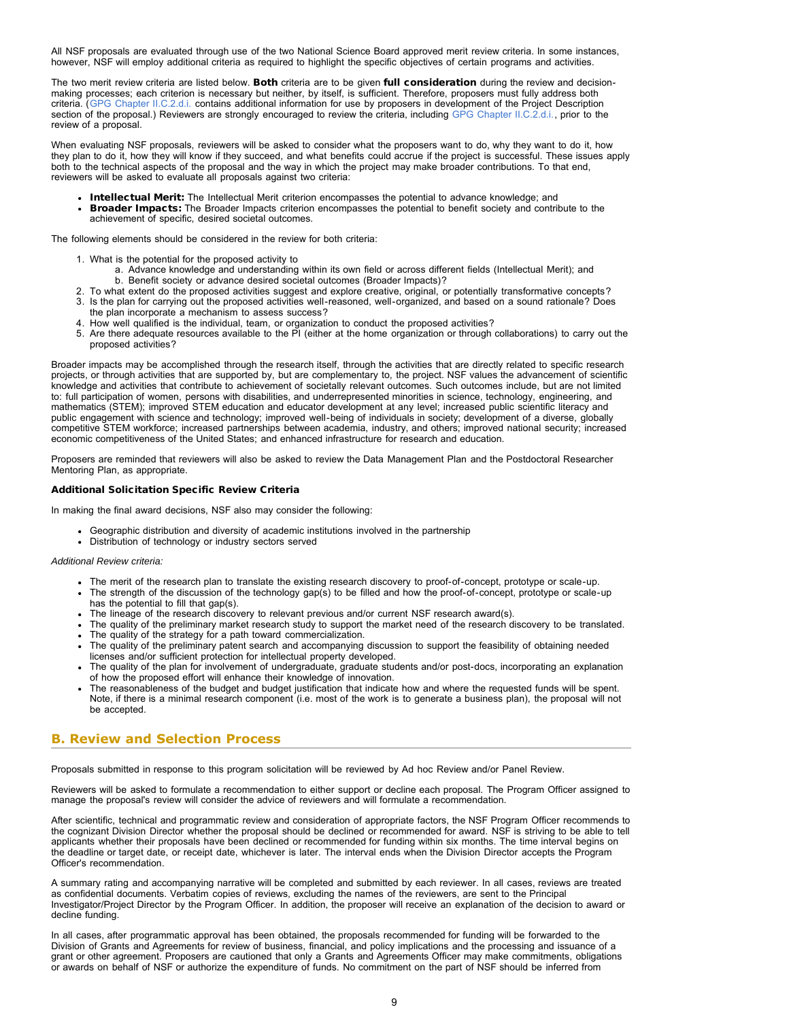All NSF proposals are evaluated through use of the two National Science Board approved merit review criteria. In some instances, however, NSF will employ additional criteria as required to highlight the specific objectives of certain programs and activities.

The two merit review criteria are listed below. Both criteria are to be given full consideration during the review and decisionmaking processes; each criterion is necessary but neither, by itself, is sufficient. Therefore, proposers must fully address both criteria. ([GPG Chapter II.C.2.d.i.](http://www.nsf.gov/pubs/policydocs/pappguide/nsf13001/gpg_2.jsp#IIC2di) contains additional information for use by proposers in development of the Project Description section of the proposal.) Reviewers are strongly encouraged to review the criteria, including [GPG Chapter II.C.2.d.i.,](http://www.nsf.gov/pubs/policydocs/pappguide/nsf13001/gpg_2.jsp#IIC2di) prior to the review of a proposal.

When evaluating NSF proposals, reviewers will be asked to consider what the proposers want to do, why they want to do it, how they plan to do it, how they will know if they succeed, and what benefits could accrue if the project is successful. These issues apply both to the technical aspects of the proposal and the way in which the project may make broader contributions. To that end, reviewers will be asked to evaluate all proposals against two criteria:

- Intellectual Merit: The Intellectual Merit criterion encompasses the potential to advance knowledge; and
- Broader Impacts: The Broader Impacts criterion encompasses the potential to benefit society and contribute to the achievement of specific, desired societal outcomes.

The following elements should be considered in the review for both criteria:

- 1. What is the potential for the proposed activity to
	- a. Advance knowledge and understanding within its own field or across different fields (Intellectual Merit); and b. Benefit society or advance desired societal outcomes (Broader Impacts)?
- 2. To what extent do the proposed activities suggest and explore creative, original, or potentially transformative concepts? 3. Is the plan for carrying out the proposed activities well-reasoned, well-organized, and based on a sound rationale? Does the plan incorporate a mechanism to assess success?
- 4. How well qualified is the individual, team, or organization to conduct the proposed activities?
- 5. Are there adequate resources available to the PI (either at the home organization or through collaborations) to carry out the proposed activities?

Broader impacts may be accomplished through the research itself, through the activities that are directly related to specific research projects, or through activities that are supported by, but are complementary to, the project. NSF values the advancement of scientific knowledge and activities that contribute to achievement of societally relevant outcomes. Such outcomes include, but are not limited to: full participation of women, persons with disabilities, and underrepresented minorities in science, technology, engineering, and mathematics (STEM); improved STEM education and educator development at any level; increased public scientific literacy and public engagement with science and technology; improved well-being of individuals in society; development of a diverse, globally competitive STEM workforce; increased partnerships between academia, industry, and others; improved national security; increased economic competitiveness of the United States; and enhanced infrastructure for research and education.

Proposers are reminded that reviewers will also be asked to review the Data Management Plan and the Postdoctoral Researcher Mentoring Plan, as appropriate.

#### Additional Solicitation Specific Review Criteria

In making the final award decisions, NSF also may consider the following:

- Geographic distribution and diversity of academic institutions involved in the partnership
- Distribution of technology or industry sectors served

#### *Additional Review criteria:*

- The merit of the research plan to translate the existing research discovery to proof-of-concept, prototype or scale-up. The strength of the discussion of the technology gap(s) to be filled and how the proof-of-concept, prototype or scale-up has the potential to fill that gap(s).
- The lineage of the research discovery to relevant previous and/or current NSF research award(s).
- The quality of the preliminary market research study to support the market need of the research discovery to be translated. The quality of the strategy for a path toward commercialization.
- The quality of the preliminary patent search and accompanying discussion to support the feasibility of obtaining needed licenses and/or sufficient protection for intellectual property developed.
- The quality of the plan for involvement of undergraduate, graduate students and/or post-docs, incorporating an explanation of how the proposed effort will enhance their knowledge of innovation.
- The reasonableness of the budget and budget justification that indicate how and where the requested funds will be spent. Note, if there is a minimal research component (i.e. most of the work is to generate a business plan), the proposal will not be accepted.

# <span id="page-8-0"></span>**B. Review and Selection Process**

Proposals submitted in response to this program solicitation will be reviewed by Ad hoc Review and/or Panel Review.

Reviewers will be asked to formulate a recommendation to either support or decline each proposal. The Program Officer assigned to manage the proposal's review will consider the advice of reviewers and will formulate a recommendation.

After scientific, technical and programmatic review and consideration of appropriate factors, the NSF Program Officer recommends to the cognizant Division Director whether the proposal should be declined or recommended for award. NSF is striving to be able to tell applicants whether their proposals have been declined or recommended for funding within six months. The time interval begins on the deadline or target date, or receipt date, whichever is later. The interval ends when the Division Director accepts the Program Officer's recommendation.

A summary rating and accompanying narrative will be completed and submitted by each reviewer. In all cases, reviews are treated as confidential documents. Verbatim copies of reviews, excluding the names of the reviewers, are sent to the Principal Investigator/Project Director by the Program Officer. In addition, the proposer will receive an explanation of the decision to award or decline funding.

In all cases, after programmatic approval has been obtained, the proposals recommended for funding will be forwarded to the Division of Grants and Agreements for review of business, financial, and policy implications and the processing and issuance of a grant or other agreement. Proposers are cautioned that only a Grants and Agreements Officer may make commitments, obligations or awards on behalf of NSF or authorize the expenditure of funds. No commitment on the part of NSF should be inferred from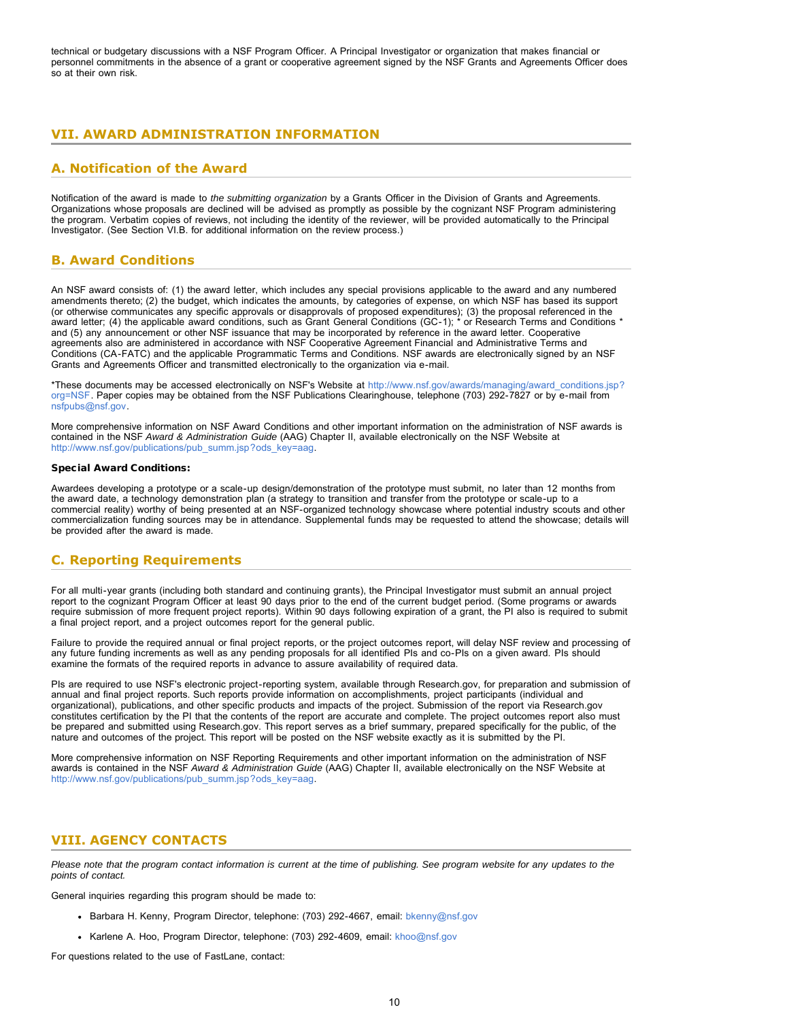technical or budgetary discussions with a NSF Program Officer. A Principal Investigator or organization that makes financial or personnel commitments in the absence of a grant or cooperative agreement signed by the NSF Grants and Agreements Officer does so at their own risk.

# <span id="page-9-0"></span>**VII. AWARD ADMINISTRATION INFORMATION**

### <span id="page-9-1"></span>**A. Notification of the Award**

Notification of the award is made to *the submitting organization* by a Grants Officer in the Division of Grants and Agreements. Organizations whose proposals are declined will be advised as promptly as possible by the cognizant NSF Program administering the program. Verbatim copies of reviews, not including the identity of the reviewer, will be provided automatically to the Principal Investigator. (See Section VI.B. for additional information on the review process.)

### <span id="page-9-2"></span>**B. Award Conditions**

An NSF award consists of: (1) the award letter, which includes any special provisions applicable to the award and any numbered amendments thereto; (2) the budget, which indicates the amounts, by categories of expense, on which NSF has based its support (or otherwise communicates any specific approvals or disapprovals of proposed expenditures); (3) the proposal referenced in the award letter; (4) the applicable award conditions, such as Grant General Conditions (GC-1); \* or Research Terms and Conditions \* and (5) any announcement or other NSF issuance that may be incorporated by reference in the award letter. Cooperative agreements also are administered in accordance with NSF Cooperative Agreement Financial and Administrative Terms and Conditions (CA-FATC) and the applicable Programmatic Terms and Conditions. NSF awards are electronically signed by an NSF Grants and Agreements Officer and transmitted electronically to the organization via e-mail.

\*These documents may be accessed electronically on NSF's Website at [http://www.nsf.gov/awards/managing/award\\_conditions.jsp?](http://www.nsf.gov/awards/managing/award_conditions.jsp?org=NSF) [org=NSF.](http://www.nsf.gov/awards/managing/award_conditions.jsp?org=NSF) Paper copies may be obtained from the NSF Publications Clearinghouse, telephone (703) 292-7827 or by e-mail from [nsfpubs@nsf.gov.](mailto:nsfpubs@nsf.gov)

More comprehensive information on NSF Award Conditions and other important information on the administration of NSF awards is contained in the NSF *Award & Administration Guide* (AAG) Chapter II, available electronically on the NSF Website at [http://www.nsf.gov/publications/pub\\_summ.jsp?ods\\_key=aag.](http://www.nsf.gov/publications/pub_summ.jsp?ods_key=aag)

#### Special Award Conditions:

Awardees developing a prototype or a scale-up design/demonstration of the prototype must submit, no later than 12 months from the award date, a technology demonstration plan (a strategy to transition and transfer from the prototype or scale-up to a commercial reality) worthy of being presented at an NSF-organized technology showcase where potential industry scouts and other commercialization funding sources may be in attendance. Supplemental funds may be requested to attend the showcase; details will be provided after the award is made.

# <span id="page-9-3"></span>**C. Reporting Requirements**

For all multi-year grants (including both standard and continuing grants), the Principal Investigator must submit an annual project report to the cognizant Program Officer at least 90 days prior to the end of the current budget period. (Some programs or awards require submission of more frequent project reports). Within 90 days following expiration of a grant, the PI also is required to submit a final project report, and a project outcomes report for the general public.

Failure to provide the required annual or final project reports, or the project outcomes report, will delay NSF review and processing of any future funding increments as well as any pending proposals for all identified PIs and co-PIs on a given award. PIs should examine the formats of the required reports in advance to assure availability of required data.

PIs are required to use NSF's electronic project-reporting system, available through Research.gov, for preparation and submission of annual and final project reports. Such reports provide information on accomplishments, project participants (individual and organizational), publications, and other specific products and impacts of the project. Submission of the report via Research.gov constitutes certification by the PI that the contents of the report are accurate and complete. The project outcomes report also must be prepared and submitted using Research.gov. This report serves as a brief summary, prepared specifically for the public, of the nature and outcomes of the project. This report will be posted on the NSF website exactly as it is submitted by the PI.

More comprehensive information on NSF Reporting Requirements and other important information on the administration of NSF awards is contained in the NSF *Award & Administration Guide* (AAG) Chapter II, available electronically on the NSF Website at [http://www.nsf.gov/publications/pub\\_summ.jsp?ods\\_key=aag.](http://www.nsf.gov/publications/pub_summ.jsp?ods_key=aag)

# <span id="page-9-4"></span>**VIII. AGENCY CONTACTS**

*Please note that the program contact information is current at the time of publishing. See program website for any updates to the points of contact.*

General inquiries regarding this program should be made to:

- Barbara H. Kenny, Program Director, telephone: (703) 292-4667, email: [bkenny@nsf.gov](mailto:bkenny@nsf.gov)
- Karlene A. Hoo, Program Director, telephone: (703) 292-4609, email: [khoo@nsf.gov](mailto:khoo@nsf.gov)

For questions related to the use of FastLane, contact: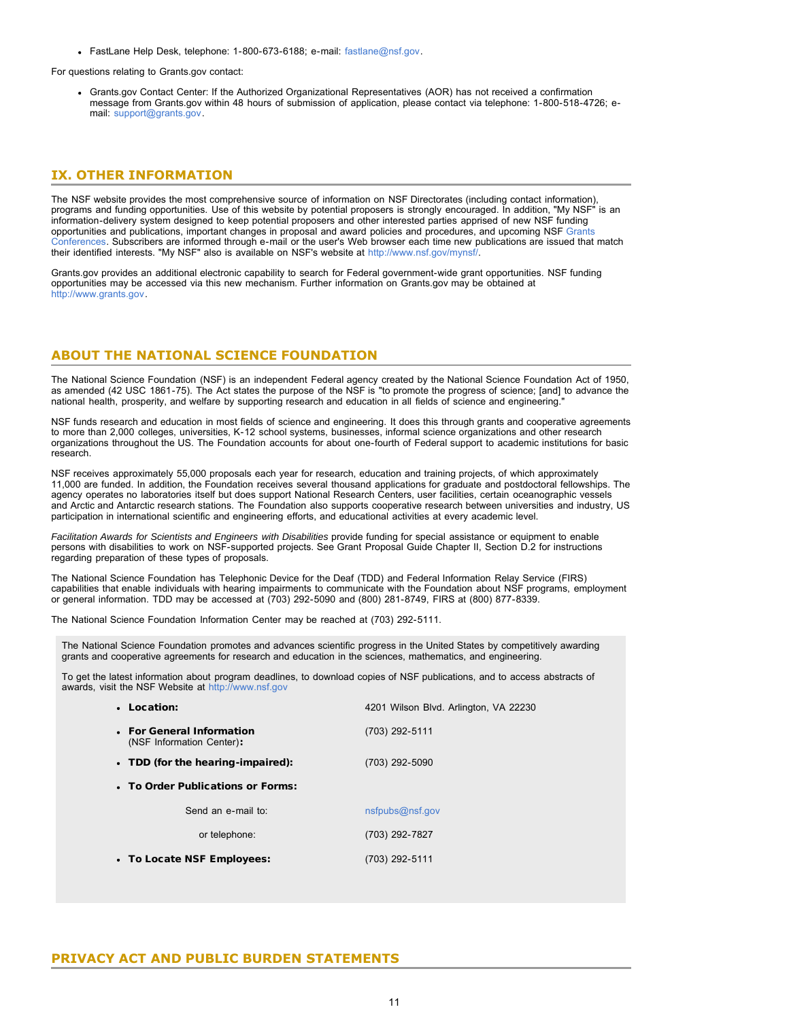FastLane Help Desk, telephone: 1-800-673-6188; e-mail: [fastlane@nsf.gov.](mailto:fastlane@nsf.gov)

For questions relating to Grants.gov contact:

Grants.gov Contact Center: If the Authorized Organizational Representatives (AOR) has not received a confirmation message from Grants.gov within 48 hours of submission of application, please contact via telephone: 1-800-518-4726; email: [support@grants.gov.](mailto:support@grants.gov)

# <span id="page-10-0"></span>**IX. OTHER INFORMATION**

The NSF website provides the most comprehensive source of information on NSF Directorates (including contact information), programs and funding opportunities. Use of this website by potential proposers is strongly encouraged. In addition, "My NSF" is an information-delivery system designed to keep potential proposers and other interested parties apprised of new NSF funding opportunities and publications, important changes in proposal and award policies and procedures, and upcoming NSF [Grants](http://www.nsf.gov/bfa/dias/policy/outreach.jsp) [Conferences.](http://www.nsf.gov/bfa/dias/policy/outreach.jsp) Subscribers are informed through e-mail or the user's Web browser each time new publications are issued that match their identified interests. "My NSF" also is available on NSF's website at [http://www.nsf.gov/mynsf/.](http://www.nsf.gov/mynsf/)

Grants.gov provides an additional electronic capability to search for Federal government-wide grant opportunities. NSF funding opportunities may be accessed via this new mechanism. Further information on Grants.gov may be obtained at [http://www.grants.gov.](http://www.grants.gov/)

# **ABOUT THE NATIONAL SCIENCE FOUNDATION**

The National Science Foundation (NSF) is an independent Federal agency created by the National Science Foundation Act of 1950, as amended (42 USC 1861-75). The Act states the purpose of the NSF is "to promote the progress of science; [and] to advance the national health, prosperity, and welfare by supporting research and education in all fields of science and engineering."

NSF funds research and education in most fields of science and engineering. It does this through grants and cooperative agreements to more than 2,000 colleges, universities, K-12 school systems, businesses, informal science organizations and other research organizations throughout the US. The Foundation accounts for about one-fourth of Federal support to academic institutions for basic research.

NSF receives approximately 55,000 proposals each year for research, education and training projects, of which approximately 11,000 are funded. In addition, the Foundation receives several thousand applications for graduate and postdoctoral fellowships. The agency operates no laboratories itself but does support National Research Centers, user facilities, certain oceanographic vessels and Arctic and Antarctic research stations. The Foundation also supports cooperative research between universities and industry, US participation in international scientific and engineering efforts, and educational activities at every academic level.

*Facilitation Awards for Scientists and Engineers with Disabilities* provide funding for special assistance or equipment to enable persons with disabilities to work on NSF-supported projects. See Grant Proposal Guide Chapter II, Section D.2 for instructions regarding preparation of these types of proposals.

The National Science Foundation has Telephonic Device for the Deaf (TDD) and Federal Information Relay Service (FIRS) capabilities that enable individuals with hearing impairments to communicate with the Foundation about NSF programs, employment or general information. TDD may be accessed at (703) 292-5090 and (800) 281-8749, FIRS at (800) 877-8339.

The National Science Foundation Information Center may be reached at (703) 292-5111.

The National Science Foundation promotes and advances scientific progress in the United States by competitively awarding grants and cooperative agreements for research and education in the sciences, mathematics, and engineering.

To get the latest information about program deadlines, to download copies of NSF publications, and to access abstracts of awards, visit the NSF Website at [http://www.nsf.gov](http://www.nsf.gov/)

| • Location:                                            | 4201 Wilson Blvd. Arlington, VA 22230 |
|--------------------------------------------------------|---------------------------------------|
| • For General Information<br>(NSF Information Center): | (703) 292-5111                        |
| • TDD (for the hearing-impaired):                      | (703) 292-5090                        |
| • To Order Publications or Forms:                      |                                       |
| Send an e-mail to:                                     | nsfpubs@nsf.gov                       |
| or telephone:                                          | (703) 292-7827                        |
| • To Locate NSF Employees:                             | (703) 292-5111                        |

# **PRIVACY ACT AND PUBLIC BURDEN STATEMENTS**